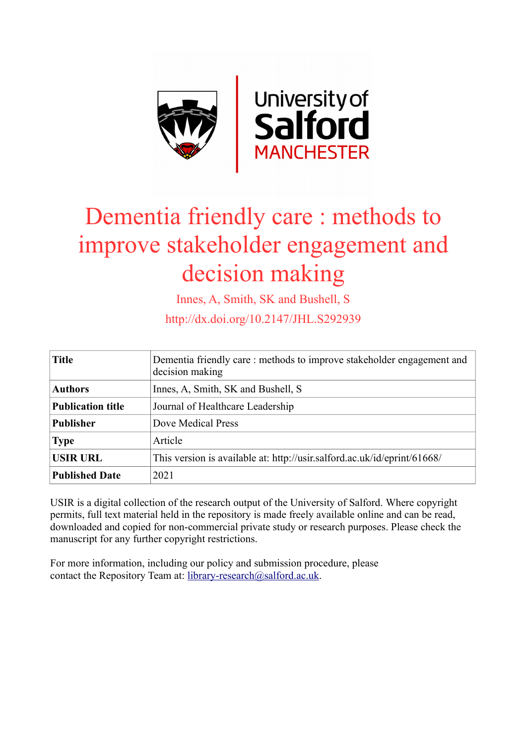

# Dementia friendly care : methods to improve stakeholder engagement and decision making

Innes, A, Smith, SK and Bushell, S

http://dx.doi.org/10.2147/JHL.S292939

| <b>Title</b>             | Dementia friendly care: methods to improve stakeholder engagement and<br>decision making |
|--------------------------|------------------------------------------------------------------------------------------|
| <b>Authors</b>           | Innes, A, Smith, SK and Bushell, S                                                       |
| <b>Publication title</b> | Journal of Healthcare Leadership                                                         |
| <b>Publisher</b>         | Dove Medical Press                                                                       |
| <b>Type</b>              | Article                                                                                  |
| <b>USIR URL</b>          | This version is available at: http://usir.salford.ac.uk/id/eprint/61668/                 |
| <b>Published Date</b>    | 2021                                                                                     |

USIR is a digital collection of the research output of the University of Salford. Where copyright permits, full text material held in the repository is made freely available online and can be read, downloaded and copied for non-commercial private study or research purposes. Please check the manuscript for any further copyright restrictions.

For more information, including our policy and submission procedure, please contact the Repository Team at: [library-research@salford.ac.uk.](mailto:library-research@salford.ac.uk)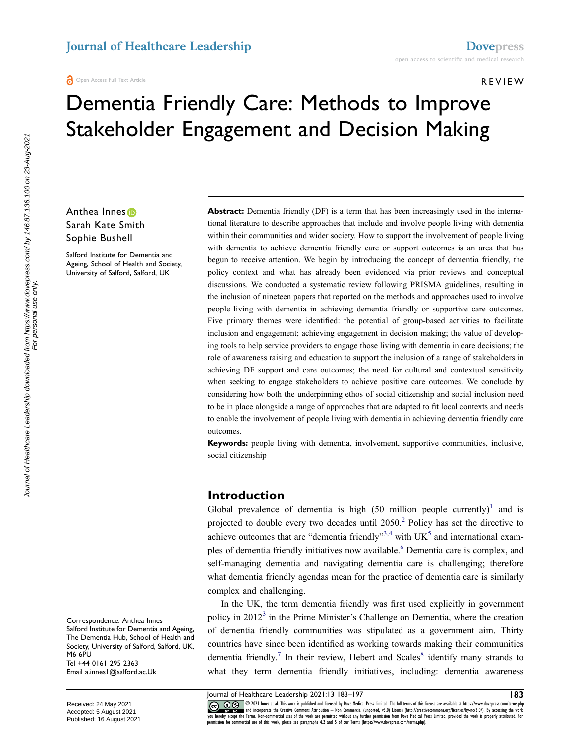#### REVIEW

## Dementia Friendly Care: Methods to Improve Stakeholder Engagement and Decision Making

### Anthea Innes<sup>®</sup> Sarah Kate Smith Sophie Bushell

Salford Institute for Dementia and Ageing, School of Health and Society, University of Salford, Salford, UK

Abstract: Dementia friendly (DF) is a term that has been increasingly used in the international literature to describe approaches that include and involve people living with dementia within their communities and wider society. How to support the involvement of people living with dementia to achieve dementia friendly care or support outcomes is an area that has begun to receive attention. We begin by introducing the concept of dementia friendly, the policy context and what has already been evidenced via prior reviews and conceptual discussions. We conducted a systematic review following PRISMA guidelines, resulting in the inclusion of nineteen papers that reported on the methods and approaches used to involve people living with dementia in achieving dementia friendly or supportive care outcomes. Five primary themes were identified: the potential of group-based activities to facilitate inclusion and engagement; achieving engagement in decision making; the value of developing tools to help service providers to engage those living with dementia in care decisions; the role of awareness raising and education to support the inclusion of a range of stakeholders in achieving DF support and care outcomes; the need for cultural and contextual sensitivity when seeking to engage stakeholders to achieve positive care outcomes. We conclude by considering how both the underpinning ethos of social citizenship and social inclusion need to be in place alongside a range of approaches that are adapted to fit local contexts and needs to enable the involvement of people living with dementia in achieving dementia friendly care outcomes.

**Keywords:** people living with dementia, involvement, supportive communities, inclusive, social citizenship

#### **Introduction**

<span id="page-1-4"></span><span id="page-1-3"></span><span id="page-1-1"></span><span id="page-1-0"></span>Global prevalence of dementia is high  $(50 \text{ million people currently})^1$  $(50 \text{ million people currently})^1$  and is projected to double every two decades until  $2050<sup>2</sup>$  Policy has set the directive to achieve outcomes that are "dementia friendly"<sup>[3](#page-13-2),4</sup> with  $UK<sup>5</sup>$  $UK<sup>5</sup>$  $UK<sup>5</sup>$  and international examples of dementia friendly initiatives now available.<sup>6</sup> Dementia care is complex, and self-managing dementia and navigating dementia care is challenging; therefore what dementia friendly agendas mean for the practice of dementia care is similarly complex and challenging.

<span id="page-1-2"></span>In the UK, the term dementia friendly was first used explicitly in government policy in  $2012<sup>3</sup>$  $2012<sup>3</sup>$  $2012<sup>3</sup>$  in the Prime Minister's Challenge on Dementia, where the creation of dementia friendly communities was stipulated as a government aim. Thirty countries have since been identified as working towards making their communities dementia friendly.<sup>7</sup> In their review, Hebert and Scales<sup>8</sup> identify many strands to what they term dementia friendly initiatives, including: dementia awareness

For personal use only.

<span id="page-1-5"></span>Journal of Healthcare Leadership 2021:13 183–197 **183** CODE Innes et al. This work is published and licensed by Dove Medical Press Limited. The full terms of this license are available at https://www.dovepress.com/terms.php (CO) UP and the strate in the reservent of the reserv permission for commercial use of this work, please see paragraphs 4.2 and 5 of our Terms (https://www.dovepress.com/terms.php).

Correspondence: Anthea Innes Salford Institute for Dementia and Ageing, The Dementia Hub, School of Health and Society, University of Salford, Salford, UK, M6 6PU Tel +44 0161 295 2363 Email [a.innes1@salford.ac.Uk](mailto:a.innes1@salford.ac.Uk)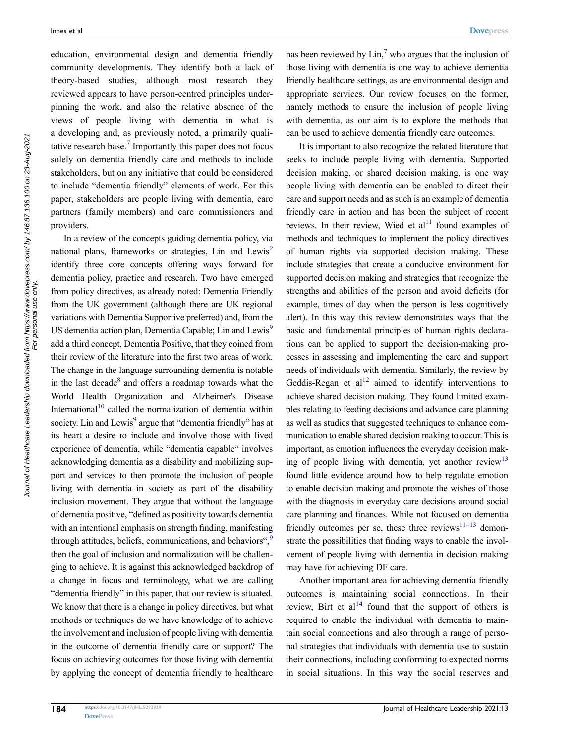education, environmental design and dementia friendly community developments. They identify both a lack of theory-based studies, although most research they reviewed appears to have person-centred principles underpinning the work, and also the relative absence of the views of people living with dementia in what is a developing and, as previously noted, a primarily qualitative research base.<sup>7</sup> Importantly this paper does not focus solely on dementia friendly care and methods to include stakeholders, but on any initiative that could be considered to include "dementia friendly" elements of work. For this paper, stakeholders are people living with dementia, care partners (family members) and care commissioners and providers.

<span id="page-2-1"></span>In a review of the concepts guiding dementia policy, via national plans, frameworks or strategies, Lin and Lewis<sup>9</sup> identify three core concepts offering ways forward for dementia policy, practice and research. Two have emerged from policy directives, as already noted: Dementia Friendly from the UK government (although there are UK regional variations with Dementia Supportive preferred) and, from the US dementia action plan, Dementia Capable; Lin and Lewis<sup>9</sup> add a third concept, Dementia Positive, that they coined from their review of the literature into the first two areas of work. The change in the language surrounding dementia is notable in the last decade<sup>[8](#page-14-2)</sup> and offers a roadmap towards what the World Health Organization and Alzheimer's Disease International<sup>[10](#page-14-4)</sup> called the normalization of dementia within society. Lin and Lewis<sup>[9](#page-14-3)</sup> argue that "dementia friendly" has at its heart a desire to include and involve those with lived experience of dementia, while "dementia capable" involves acknowledging dementia as a disability and mobilizing support and services to then promote the inclusion of people living with dementia in society as part of the disability inclusion movement. They argue that without the language of dementia positive, "defined as positivity towards dementia with an intentional emphasis on strength finding, manifesting through attitudes, beliefs, communications, and behaviors", $\frac{9}{2}$ then the goal of inclusion and normalization will be challenging to achieve. It is against this acknowledged backdrop of a change in focus and terminology, what we are calling "dementia friendly" in this paper, that our review is situated. We know that there is a change in policy directives, but what methods or techniques do we have knowledge of to achieve the involvement and inclusion of people living with dementia in the outcome of dementia friendly care or support? The focus on achieving outcomes for those living with dementia by applying the concept of dementia friendly to healthcare has been reviewed by  $\text{Lin}^7$  $\text{Lin}^7$  who argues that the inclusion of those living with dementia is one way to achieve dementia friendly healthcare settings, as are environmental design and appropriate services. Our review focuses on the former, namely methods to ensure the inclusion of people living with dementia, as our aim is to explore the methods that can be used to achieve dementia friendly care outcomes.

It is important to also recognize the related literature that seeks to include people living with dementia. Supported decision making, or shared decision making, is one way people living with dementia can be enabled to direct their care and support needs and as such is an example of dementia friendly care in action and has been the subject of recent reviews. In their review, Wied et  $al<sup>11</sup>$  found examples of methods and techniques to implement the policy directives of human rights via supported decision making. These include strategies that create a conducive environment for supported decision making and strategies that recognize the strengths and abilities of the person and avoid deficits (for example, times of day when the person is less cognitively alert). In this way this review demonstrates ways that the basic and fundamental principles of human rights declarations can be applied to support the decision-making processes in assessing and implementing the care and support needs of individuals with dementia. Similarly, the review by Geddis-Regan et  $al<sup>12</sup>$  $al<sup>12</sup>$  $al<sup>12</sup>$  aimed to identify interventions to achieve shared decision making. They found limited examples relating to feeding decisions and advance care planning as well as studies that suggested techniques to enhance communication to enable shared decision making to occur. This is important, as emotion influences the everyday decision making of people living with dementia, yet another review $13$ found little evidence around how to help regulate emotion to enable decision making and promote the wishes of those with the diagnosis in everyday care decisions around social care planning and finances. While not focused on dementia friendly outcomes per se, these three reviews $11-13$  demonstrate the possibilities that finding ways to enable the involvement of people living with dementia in decision making may have for achieving DF care.

<span id="page-2-5"></span><span id="page-2-4"></span><span id="page-2-3"></span><span id="page-2-2"></span><span id="page-2-0"></span>Another important area for achieving dementia friendly outcomes is maintaining social connections. In their review, Birt et  $al^{14}$  $al^{14}$  $al^{14}$  found that the support of others is required to enable the individual with dementia to maintain social connections and also through a range of personal strategies that individuals with dementia use to sustain their connections, including conforming to expected norms in social situations. In this way the social reserves and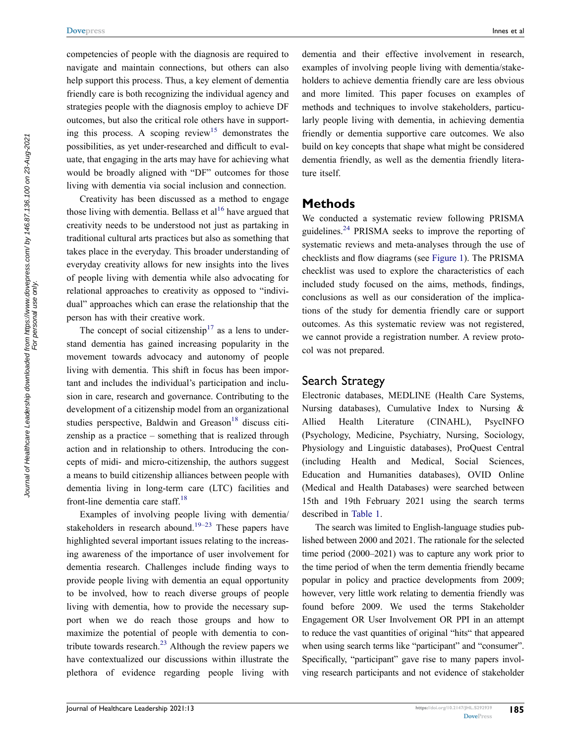competencies of people with the diagnosis are required to navigate and maintain connections, but others can also help support this process. Thus, a key element of dementia friendly care is both recognizing the individual agency and strategies people with the diagnosis employ to achieve DF outcomes, but also the critical role others have in supporting this process. A scoping review<sup>15</sup> demonstrates the possibilities, as yet under-researched and difficult to evaluate, that engaging in the arts may have for achieving what would be broadly aligned with "DF" outcomes for those living with dementia via social inclusion and connection.

<span id="page-3-1"></span><span id="page-3-0"></span>Creativity has been discussed as a method to engage those living with dementia. Bellass et  $al^{16}$  have argued that creativity needs to be understood not just as partaking in traditional cultural arts practices but also as something that takes place in the everyday. This broader understanding of everyday creativity allows for new insights into the lives of people living with dementia while also advocating for relational approaches to creativity as opposed to "individual" approaches which can erase the relationship that the person has with their creative work.

<span id="page-3-2"></span>The concept of social citizenship<sup>17</sup> as a lens to understand dementia has gained increasing popularity in the movement towards advocacy and autonomy of people living with dementia. This shift in focus has been important and includes the individual's participation and inclusion in care, research and governance. Contributing to the development of a citizenship model from an organizational studies perspective, Baldwin and Greason<sup>18</sup> discuss citizenship as a practice – something that is realized through action and in relationship to others. Introducing the concepts of midi- and micro-citizenship, the authors suggest a means to build citizenship alliances between people with dementia living in long-term care (LTC) facilities and front-line dementia care staff[.18](#page-14-12)

<span id="page-3-5"></span><span id="page-3-4"></span><span id="page-3-3"></span>Examples of involving people living with dementia/ stakeholders in research abound.<sup>19–23</sup> These papers have highlighted several important issues relating to the increasing awareness of the importance of user involvement for dementia research. Challenges include finding ways to provide people living with dementia an equal opportunity to be involved, how to reach diverse groups of people living with dementia, how to provide the necessary support when we do reach those groups and how to maximize the potential of people with dementia to contribute towards research. $^{23}$  Although the review papers we have contextualized our discussions within illustrate the plethora of evidence regarding people living with

dementia and their effective involvement in research, examples of involving people living with dementia/stakeholders to achieve dementia friendly care are less obvious and more limited. This paper focuses on examples of methods and techniques to involve stakeholders, particularly people living with dementia, in achieving dementia friendly or dementia supportive care outcomes. We also build on key concepts that shape what might be considered dementia friendly, as well as the dementia friendly literature itself.

#### **Methods**

<span id="page-3-6"></span>We conducted a systematic review following PRISMA guidelines[.24](#page-14-15) PRISMA seeks to improve the reporting of systematic reviews and meta-analyses through the use of checklists and flow diagrams (see [Figure 1](#page-4-0)). The PRISMA checklist was used to explore the characteristics of each included study focused on the aims, methods, findings, conclusions as well as our consideration of the implications of the study for dementia friendly care or support outcomes. As this systematic review was not registered, we cannot provide a registration number. A review protocol was not prepared.

#### Search Strategy

Electronic databases, MEDLINE (Health Care Systems, Nursing databases), Cumulative Index to Nursing & Allied Health Literature (CINAHL), PsycINFO (Psychology, Medicine, Psychiatry, Nursing, Sociology, Physiology and Linguistic databases), ProQuest Central (including Health and Medical, Social Sciences, Education and Humanities databases), OVID Online (Medical and Health Databases) were searched between 15th and 19th February 2021 using the search terms described in [Table 1.](#page-4-1)

The search was limited to English-language studies published between 2000 and 2021. The rationale for the selected time period (2000–2021) was to capture any work prior to the time period of when the term dementia friendly became popular in policy and practice developments from 2009; however, very little work relating to dementia friendly was found before 2009. We used the terms Stakeholder Engagement OR User Involvement OR PPI in an attempt to reduce the vast quantities of original "hits" that appeared when using search terms like "participant" and "consumer". Specifically, "participant" gave rise to many papers involving research participants and not evidence of stakeholder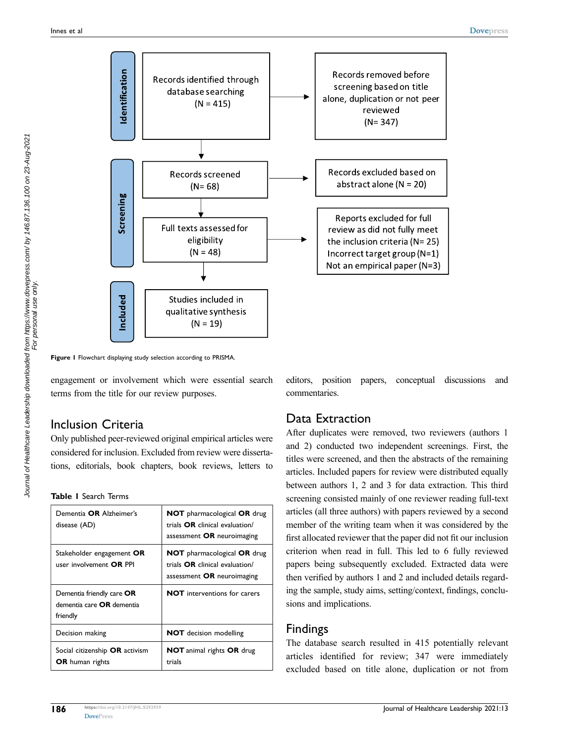<span id="page-4-0"></span>

**Figure 1** Flowchart displaying study selection according to PRISMA.

engagement or involvement which were essential search terms from the title for our review purposes.

#### Inclusion Criteria

Only published peer-reviewed original empirical articles were considered for inclusion. Excluded from review were dissertations, editorials, book chapters, book reviews, letters to

<span id="page-4-1"></span>**Table 1** Search Terms

| Dementia OR Alzheimer's<br>disease (AD)                                   | <b>NOT</b> pharmacological OR drug<br>trials OR clinical evaluation/<br>assessment OR neuroimaging |
|---------------------------------------------------------------------------|----------------------------------------------------------------------------------------------------|
| Stakeholder engagement OR<br>user involvement <b>OR PPI</b>               | <b>NOT</b> pharmacological OR drug<br>trials OR clinical evaluation/<br>assessment OR neuroimaging |
| Dementia friendly care OR<br>dementia care <b>OR</b> dementia<br>friendly | <b>NOT</b> interventions for carers                                                                |
| Decision making                                                           | <b>NOT</b> decision modelling                                                                      |
| Social citizenship <b>OR</b> activism<br><b>OR</b> human rights           | <b>NOT</b> animal rights <b>OR</b> drug<br>trials                                                  |

editors, position papers, conceptual discussions and commentaries.

### Data Extraction

After duplicates were removed, two reviewers (authors 1 and 2) conducted two independent screenings. First, the titles were screened, and then the abstracts of the remaining articles. Included papers for review were distributed equally between authors 1, 2 and 3 for data extraction. This third screening consisted mainly of one reviewer reading full-text articles (all three authors) with papers reviewed by a second member of the writing team when it was considered by the first allocated reviewer that the paper did not fit our inclusion criterion when read in full. This led to 6 fully reviewed papers being subsequently excluded. Extracted data were then verified by authors 1 and 2 and included details regarding the sample, study aims, setting/context, findings, conclusions and implications.

#### Findings

The database search resulted in 415 potentially relevant articles identified for review; 347 were immediately excluded based on title alone, duplication or not from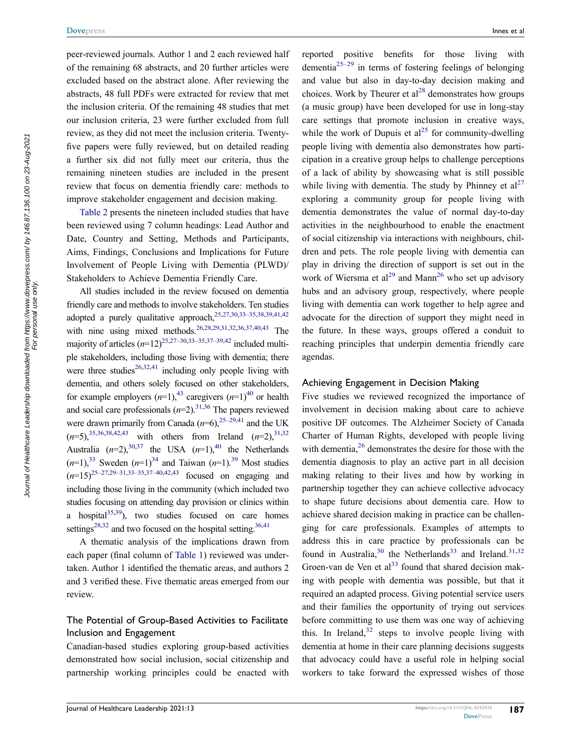peer-reviewed journals. Author 1 and 2 each reviewed half of the remaining 68 abstracts, and 20 further articles were excluded based on the abstract alone. After reviewing the abstracts, 48 full PDFs were extracted for review that met the inclusion criteria. Of the remaining 48 studies that met our inclusion criteria, 23 were further excluded from full review, as they did not meet the inclusion criteria. Twentyfive papers were fully reviewed, but on detailed reading a further six did not fully meet our criteria, thus the remaining nineteen studies are included in the present review that focus on dementia friendly care: methods to improve stakeholder engagement and decision making.

[Table 2](#page-6-0) presents the nineteen included studies that have been reviewed using 7 column headings: Lead Author and Date, Country and Setting, Methods and Participants, Aims, Findings, Conclusions and Implications for Future Involvement of People Living with Dementia (PLWD)/ Stakeholders to Achieve Dementia Friendly Care.

All studies included in the review focused on dementia friendly care and methods to involve stakeholders. Ten studies adopted a purely qualitative approach,  $25,27,30,33-35,38,39,41,42$  $25,27,30,33-35,38,39,41,42$  $25,27,30,33-35,38,39,41,42$  $25,27,30,33-35,38,39,41,42$  $25,27,30,33-35,38,39,41,42$  $25,27,30,33-35,38,39,41,42$  $25,27,30,33-35,38,39,41,42$  $25,27,30,33-35,38,39,41,42$ with nine using mixed methods.<sup>26,[28,](#page-14-23)[29](#page-14-24)[,31](#page-14-25)[,32](#page-14-26)[,36,](#page-14-27)[37](#page-14-28)[,40,](#page-14-29)[43](#page-15-2)</sup> The majority of articles  $(n=12)^{25,27-30,33-35,37-39,42}$  $(n=12)^{25,27-30,33-35,37-39,42}$  $(n=12)^{25,27-30,33-35,37-39,42}$  included multiple stakeholders, including those living with dementia; there were three studies<sup>[26](#page-14-22)[,32,](#page-14-26)[41](#page-15-0)</sup> including only people living with dementia, and others solely focused on other stakeholders, for example employers  $(n=1)$ ,<sup>43</sup> caregivers  $(n=1)$ <sup>40</sup> or health and social care professionals  $(n=2)$ <sup>31,36</sup> The papers reviewed were drawn primarily from Canada  $(n=6)$ , <sup>25–29,41</sup> and the UK  $(n=5)$ ,  $35,36,38,42,43$  $35,36,38,42,43$  $35,36,38,42,43$  $35,36,38,42,43$  $35,36,38,42,43$  with others from Ireland  $(n=2)$ ,  $31,32$  $31,32$ Australia  $(n=2)$ ,<sup>[30](#page-14-18)[,37](#page-14-28)</sup> the USA  $(n=1)$ ,<sup>40</sup> the Netherlands  $(n=1)$ ,<sup>33</sup> Sweden  $(n=1)$ <sup>34</sup> and Taiwan  $(n=1)$ .<sup>39</sup> Most studies  $(n=15)^{25-27,29-31,33-35,37-40,42,43}$  $(n=15)^{25-27,29-31,33-35,37-40,42,43}$  $(n=15)^{25-27,29-31,33-35,37-40,42,43}$  focused on engaging and including those living in the community (which included two studies focusing on attending day provision or clinics within a hospital $(35,39)$  $(35,39)$ , two studies focused on care homes settings<sup>28,32</sup> and two focused on the hospital setting.<sup>[36](#page-14-27)[,41](#page-15-0)</sup>

<span id="page-5-13"></span><span id="page-5-12"></span><span id="page-5-11"></span><span id="page-5-10"></span><span id="page-5-9"></span><span id="page-5-8"></span>A thematic analysis of the implications drawn from each paper (final column of [Table 1\)](#page-4-1) reviewed was undertaken. Author 1 identified the thematic areas, and authors 2 and 3 verified these. Five thematic areas emerged from our review.

#### The Potential of Group-Based Activities to Facilitate Inclusion and Engagement

Canadian-based studies exploring group-based activities demonstrated how social inclusion, social citizenship and partnership working principles could be enacted with <span id="page-5-3"></span><span id="page-5-2"></span><span id="page-5-0"></span>reported positive benefits for those living with dementia<sup>25–29</sup> in terms of fostering feelings of belonging and value but also in day-to-day decision making and choices. Work by Theurer et  $al^{28}$  $al^{28}$  $al^{28}$  demonstrates how groups (a music group) have been developed for use in long-stay care settings that promote inclusion in creative ways, while the work of Dupuis et  $al^{25}$  $al^{25}$  $al^{25}$  for community-dwelling people living with dementia also demonstrates how participation in a creative group helps to challenge perceptions of a lack of ability by showcasing what is still possible while living with dementia. The study by Phinney et  $al^{27}$  $al^{27}$  $al^{27}$ exploring a community group for people living with dementia demonstrates the value of normal day-to-day activities in the neighbourhood to enable the enactment of social citizenship via interactions with neighbours, children and pets. The role people living with dementia can play in driving the direction of support is set out in the work of Wiersma et al<sup>[29](#page-14-24)</sup> and Mann<sup>26</sup> who set up advisory hubs and an advisory group, respectively, where people living with dementia can work together to help agree and advocate for the direction of support they might need in the future. In these ways, groups offered a conduit to reaching principles that underpin dementia friendly care agendas.

#### <span id="page-5-4"></span>Achieving Engagement in Decision Making

<span id="page-5-7"></span><span id="page-5-6"></span><span id="page-5-5"></span><span id="page-5-1"></span>Five studies we reviewed recognized the importance of involvement in decision making about care to achieve positive DF outcomes. The Alzheimer Society of Canada Charter of Human Rights, developed with people living with dementia, $2<sup>6</sup>$  demonstrates the desire for those with the dementia diagnosis to play an active part in all decision making relating to their lives and how by working in partnership together they can achieve collective advocacy to shape future decisions about dementia care. How to achieve shared decision making in practice can be challenging for care professionals. Examples of attempts to address this in care practice by professionals can be found in Australia,<sup>[30](#page-14-18)</sup> the Netherlands<sup>33</sup> and Ireland.<sup>[31](#page-14-25),[32](#page-14-26)</sup> Groen-van de Ven et  $al^{33}$  $al^{33}$  $al^{33}$  found that shared decision making with people with dementia was possible, but that it required an adapted process. Giving potential service users and their families the opportunity of trying out services before committing to use them was one way of achieving this. In Ireland, $32$  steps to involve people living with dementia at home in their care planning decisions suggests that advocacy could have a useful role in helping social workers to take forward the expressed wishes of those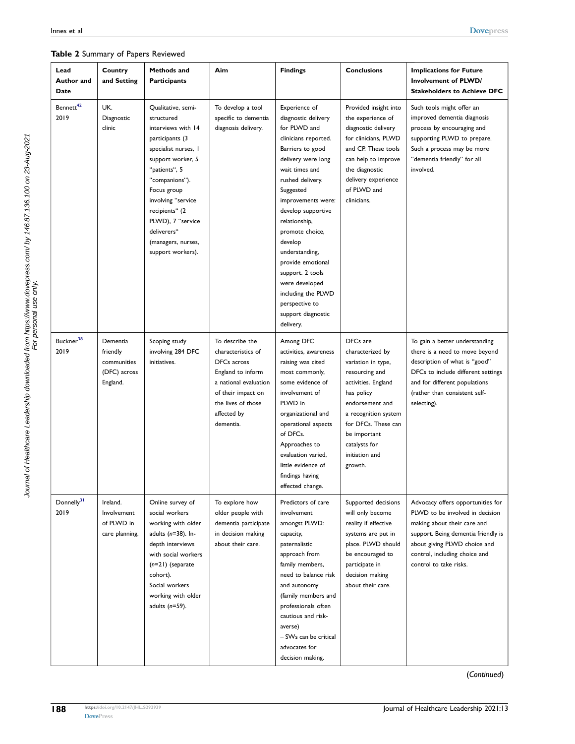#### <span id="page-6-0"></span>**Table 2** Summary of Papers Reviewed

| Lead<br>Author and<br>Date     | Country<br>and Setting                                          | Methods and<br><b>Participants</b>                                                                                                                                                                                                                                                              | Aim                                                                                                                                                                        | <b>Findings</b>                                                                                                                                                                                                                                                                                                                                                                                                              | <b>Conclusions</b>                                                                                                                                                                                                                        | <b>Implications for Future</b><br><b>Involvement of PLWD/</b><br><b>Stakeholders to Achieve DFC</b>                                                                                                                                   |
|--------------------------------|-----------------------------------------------------------------|-------------------------------------------------------------------------------------------------------------------------------------------------------------------------------------------------------------------------------------------------------------------------------------------------|----------------------------------------------------------------------------------------------------------------------------------------------------------------------------|------------------------------------------------------------------------------------------------------------------------------------------------------------------------------------------------------------------------------------------------------------------------------------------------------------------------------------------------------------------------------------------------------------------------------|-------------------------------------------------------------------------------------------------------------------------------------------------------------------------------------------------------------------------------------------|---------------------------------------------------------------------------------------------------------------------------------------------------------------------------------------------------------------------------------------|
| Bennett <sup>42</sup><br>2019  | UK.<br>Diagnostic<br>clinic                                     | Qualitative, semi-<br>structured<br>interviews with 14<br>participants (3<br>specialist nurses, I<br>support worker, 5<br>"patients", 5<br>"companions").<br>Focus group<br>involving "service<br>recipients" (2<br>PLWD), 7 "service<br>deliverers"<br>(managers, nurses,<br>support workers). | To develop a tool<br>specific to dementia<br>diagnosis delivery.                                                                                                           | Experience of<br>diagnostic delivery<br>for PLWD and<br>clinicians reported.<br>Barriers to good<br>delivery were long<br>wait times and<br>rushed delivery.<br>Suggested<br>improvements were:<br>develop supportive<br>relationship,<br>promote choice,<br>develop<br>understanding,<br>provide emotional<br>support. 2 tools<br>were developed<br>including the PLWD<br>perspective to<br>support diagnostic<br>delivery. | Provided insight into<br>the experience of<br>diagnostic delivery<br>for clinicians, PLWD<br>and CP. These tools<br>can help to improve<br>the diagnostic<br>delivery experience<br>of PLWD and<br>clinicians.                            | Such tools might offer an<br>improved dementia diagnosis<br>process by encouraging and<br>supporting PLWD to prepare.<br>Such a process may be more<br>"dementia friendly" for all<br>involved.                                       |
| Buckner <sup>38</sup><br>2019  | Dementia<br>friendly<br>communities<br>(DFC) across<br>England. | Scoping study<br>involving 284 DFC<br>initiatives.                                                                                                                                                                                                                                              | To describe the<br>characteristics of<br>DFCs across<br>England to inform<br>a national evaluation<br>of their impact on<br>the lives of those<br>affected by<br>dementia. | Among DFC<br>activities, awareness<br>raising was cited<br>most commonly,<br>some evidence of<br>involvement of<br>PLWD in<br>organizational and<br>operational aspects<br>of DFCs.<br>Approaches to<br>evaluation varied,<br>little evidence of<br>findings having<br>effected change.                                                                                                                                      | DFCs are<br>characterized by<br>variation in type,<br>resourcing and<br>activities. England<br>has policy<br>endorsement and<br>a recognition system<br>for DFCs. These can<br>be important<br>catalysts for<br>initiation and<br>growth. | To gain a better understanding<br>there is a need to move beyond<br>description of what is "good"<br>DFCs to include different settings<br>and for different populations<br>(rather than consistent self-<br>selecting).              |
| Donnelly <sup>31</sup><br>2019 | Ireland.<br>Involvement<br>of PLWD in<br>care planning.         | Online survey of<br>social workers<br>working with older<br>adults $(n=38)$ . In-<br>depth interviews<br>with social workers<br>$(n=21)$ (separate<br>cohort).<br>Social workers<br>working with older<br>adults $(n=59)$ .                                                                     | To explore how<br>older people with<br>dementia participate<br>in decision making<br>about their care.                                                                     | Predictors of care<br>involvement<br>amongst PLWD:<br>capacity,<br>paternalistic<br>approach from<br>family members,<br>need to balance risk<br>and autonomy<br>(family members and<br>professionals often<br>cautious and risk-<br>averse)<br>- SWs can be critical<br>advocates for<br>decision making.                                                                                                                    | Supported decisions<br>will only become<br>reality if effective<br>systems are put in<br>place. PLWD should<br>be encouraged to<br>participate in<br>decision making<br>about their care.                                                 | Advocacy offers opportunities for<br>PLWD to be involved in decision<br>making about their care and<br>support. Being dementia friendly is<br>about giving PLWD choice and<br>control, including choice and<br>control to take risks. |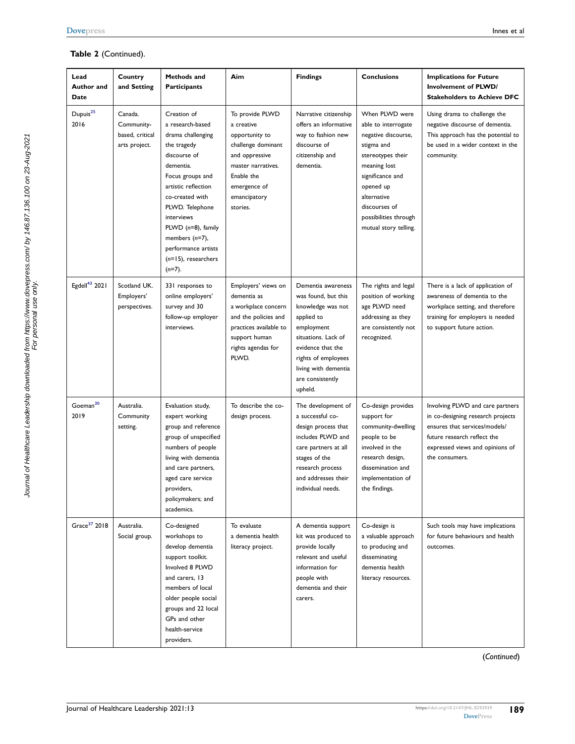#### **Table 2** (Continued).

| Lead<br>Author and<br>Date   | Country<br>and Setting                                    | Methods and<br><b>Participants</b>                                                                                                                                                                                                                                                                          | Aim                                                                                                                                                                     | <b>Findings</b>                                                                                                                                                                                                      | <b>Conclusions</b>                                                                                                                                                                                                                 | <b>Implications for Future</b><br>Involvement of PLWD/<br><b>Stakeholders to Achieve DFC</b>                                                                                               |
|------------------------------|-----------------------------------------------------------|-------------------------------------------------------------------------------------------------------------------------------------------------------------------------------------------------------------------------------------------------------------------------------------------------------------|-------------------------------------------------------------------------------------------------------------------------------------------------------------------------|----------------------------------------------------------------------------------------------------------------------------------------------------------------------------------------------------------------------|------------------------------------------------------------------------------------------------------------------------------------------------------------------------------------------------------------------------------------|--------------------------------------------------------------------------------------------------------------------------------------------------------------------------------------------|
| Dupuis <sup>25</sup><br>2016 | Canada.<br>Community-<br>based, critical<br>arts project. | Creation of<br>a research-based<br>drama challenging<br>the tragedy<br>discourse of<br>dementia.<br>Focus groups and<br>artistic reflection<br>co-created with<br>PLWD. Telephone<br>interviews<br>PLWD $(n=8)$ , family<br>members $(n=7)$ ,<br>performance artists<br>$(n=15)$ , researchers<br>$(n=7)$ . | To provide PLWD<br>a creative<br>opportunity to<br>challenge dominant<br>and oppressive<br>master narratives.<br>Enable the<br>emergence of<br>emancipatory<br>stories. | Narrative citizenship<br>offers an informative<br>way to fashion new<br>discourse of<br>citizenship and<br>dementia.                                                                                                 | When PLWD were<br>able to interrogate<br>negative discourse,<br>stigma and<br>stereotypes their<br>meaning lost<br>significance and<br>opened up<br>alternative<br>discourses of<br>possibilities through<br>mutual story telling. | Using drama to challenge the<br>negative discourse of dementia.<br>This approach has the potential to<br>be used in a wider context in the<br>community.                                   |
| Egdell <sup>43</sup> 2021    | Scotland UK.<br>Employers'<br>perspectives.               | 331 responses to<br>online employers'<br>survey and 30<br>follow-up employer<br>interviews.                                                                                                                                                                                                                 | Employers' views on<br>dementia as<br>a workplace concern<br>and the policies and<br>practices available to<br>support human<br>rights agendas for<br>PLWD.             | Dementia awareness<br>was found, but this<br>knowledge was not<br>applied to<br>employment<br>situations. Lack of<br>evidence that the<br>rights of employees<br>living with dementia<br>are consistently<br>upheld. | The rights and legal<br>position of working<br>age PLWD need<br>addressing as they<br>are consistently not<br>recognized.                                                                                                          | There is a lack of application of<br>awareness of dementia to the<br>workplace setting, and therefore<br>training for employers is needed<br>to support future action.                     |
| Goeman <sup>30</sup><br>2019 | Australia.<br>Community<br>setting.                       | Evaluation study,<br>expert working<br>group and reference<br>group of unspecified<br>numbers of people<br>living with dementia<br>and care partners,<br>aged care service<br>providers,<br>policymakers; and<br>academics.                                                                                 | To describe the co-<br>design process.                                                                                                                                  | The development of<br>a successful co-<br>design process that<br>includes PLWD and<br>care partners at all<br>stages of the<br>research process<br>and addresses their<br>individual needs.                          | Co-design provides<br>support for<br>community-dwelling<br>people to be<br>involved in the<br>research design,<br>dissemination and<br>implementation of<br>the findings.                                                          | Involving PLWD and care partners<br>in co-designing research projects<br>ensures that services/models/<br>future research reflect the<br>expressed views and opinions of<br>the consumers. |
| Grace <sup>37</sup> 2018     | Australia.<br>Social group.                               | Co-designed<br>workshops to<br>develop dementia<br>support toolkit.<br>Involved 8 PLWD<br>and carers, 13<br>members of local<br>older people social<br>groups and 22 local<br>GPs and other<br>health-service<br>providers.                                                                                 | To evaluate<br>a dementia health<br>literacy project.                                                                                                                   | A dementia support<br>kit was produced to<br>provide locally<br>relevant and useful<br>information for<br>people with<br>dementia and their<br>carers.                                                               | Co-design is<br>a valuable approach<br>to producing and<br>disseminating<br>dementia health<br>literacy resources.                                                                                                                 | Such tools may have implications<br>for future behaviours and health<br>outcomes.                                                                                                          |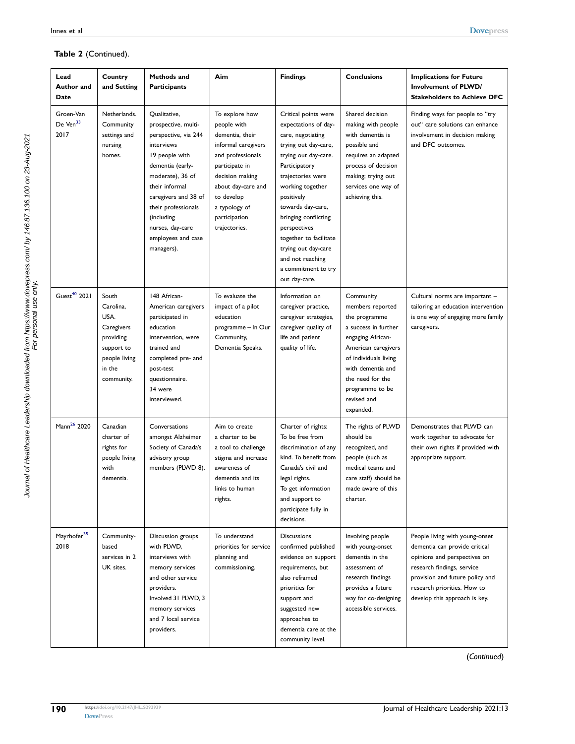| Lead<br>Author and<br>Date                | Country<br>and Setting                                                                                       | Methods and<br><b>Participants</b>                                                                                                                                                                                                                                         | Aim                                                                                                                                                                                                                      | <b>Findings</b>                                                                                                                                                                                                                                                                                                                                                     | <b>Conclusions</b>                                                                                                                                                                                                                  | <b>Implications for Future</b><br><b>Involvement of PLWD/</b><br><b>Stakeholders to Achieve DFC</b>                                                                                                                              |
|-------------------------------------------|--------------------------------------------------------------------------------------------------------------|----------------------------------------------------------------------------------------------------------------------------------------------------------------------------------------------------------------------------------------------------------------------------|--------------------------------------------------------------------------------------------------------------------------------------------------------------------------------------------------------------------------|---------------------------------------------------------------------------------------------------------------------------------------------------------------------------------------------------------------------------------------------------------------------------------------------------------------------------------------------------------------------|-------------------------------------------------------------------------------------------------------------------------------------------------------------------------------------------------------------------------------------|----------------------------------------------------------------------------------------------------------------------------------------------------------------------------------------------------------------------------------|
| Groen-Van<br>De Ven <sup>33</sup><br>2017 | Netherlands.<br>Community<br>settings and<br>nursing<br>homes.                                               | Qualitative,<br>prospective, multi-<br>perspective, via 244<br>interviews<br>19 people with<br>dementia (early-<br>moderate), 36 of<br>their informal<br>caregivers and 38 of<br>their professionals<br>(including<br>nurses, day-care<br>employees and case<br>managers). | To explore how<br>people with<br>dementia, their<br>informal caregivers<br>and professionals<br>participate in<br>decision making<br>about day-care and<br>to develop<br>a typology of<br>participation<br>trajectories. | Critical points were<br>expectations of day-<br>care, negotiating<br>trying out day-care,<br>trying out day-care.<br>Participatory<br>trajectories were<br>working together<br>positively<br>towards day-care,<br>bringing conflicting<br>perspectives<br>together to facilitate<br>trying out day-care<br>and not reaching<br>a commitment to try<br>out day-care. | Shared decision<br>making with people<br>with dementia is<br>possible and<br>requires an adapted<br>process of decision<br>making; trying out<br>services one way of<br>achieving this.                                             | Finding ways for people to "try<br>out" care solutions can enhance<br>involvement in decision making<br>and DFC outcomes.                                                                                                        |
| Guest <sup>40</sup> 2021                  | South<br>Carolina.<br>USA.<br>Caregivers<br>providing<br>support to<br>people living<br>in the<br>community. | 148 African-<br>American caregivers<br>participated in<br>education<br>intervention, were<br>trained and<br>completed pre- and<br>post-test<br>questionnaire.<br>34 were<br>interviewed.                                                                                   | To evaluate the<br>impact of a pilot<br>education<br>programme – In Our<br>Community,<br>Dementia Speaks.                                                                                                                | Information on<br>caregiver practice,<br>caregiver strategies,<br>caregiver quality of<br>life and patient<br>quality of life.                                                                                                                                                                                                                                      | Community<br>members reported<br>the programme<br>a success in further<br>engaging African-<br>American caregivers<br>of individuals living<br>with dementia and<br>the need for the<br>programme to be<br>revised and<br>expanded. | Cultural norms are important -<br>tailoring an education intervention<br>is one way of engaging more family<br>caregivers.                                                                                                       |
| Mann <sup>26</sup> 2020                   | Canadian<br>charter of<br>rights for<br>people living<br>with<br>dementia.                                   | Conversations<br>amongst Alzheimer<br>Society of Canada's<br>advisory group<br>members (PLWD 8).                                                                                                                                                                           | Aim to create<br>a charter to be<br>a tool to challenge<br>stigma and increase<br>awareness of<br>dementia and its<br>links to human<br>rights.                                                                          | Charter of rights:<br>To be free from<br>discrimination of any<br>kind. To benefit from<br>Canada's civil and<br>legal rights.<br>To get information<br>and support to<br>participate fully in<br>decisions.                                                                                                                                                        | The rights of PLWD<br>should be<br>recognized, and<br>people (such as<br>medical teams and<br>care staff) should be<br>made aware of this<br>charter.                                                                               | Demonstrates that PLWD can<br>work together to advocate for<br>their own rights if provided with<br>appropriate support.                                                                                                         |
| Mayrhofer <sup>35</sup><br>2018           | Community-<br>based<br>services in 2<br>UK sites.                                                            | Discussion groups<br>with PLWD,<br>interviews with<br>memory services<br>and other service<br>providers.<br>Involved 31 PLWD, 3<br>memory services<br>and 7 local service<br>providers.                                                                                    | To understand<br>priorities for service<br>planning and<br>commissioning.                                                                                                                                                | <b>Discussions</b><br>confirmed published<br>evidence on support<br>requirements, but<br>also reframed<br>priorities for<br>support and<br>suggested new<br>approaches to<br>dementia care at the<br>community level.                                                                                                                                               | Involving people<br>with young-onset<br>dementia in the<br>assessment of<br>research findings<br>provides a future<br>way for co-designing<br>accessible services.                                                                  | People living with young-onset<br>dementia can provide critical<br>opinions and perspectives on<br>research findings, service<br>provision and future policy and<br>research priorities. How to<br>develop this approach is key. |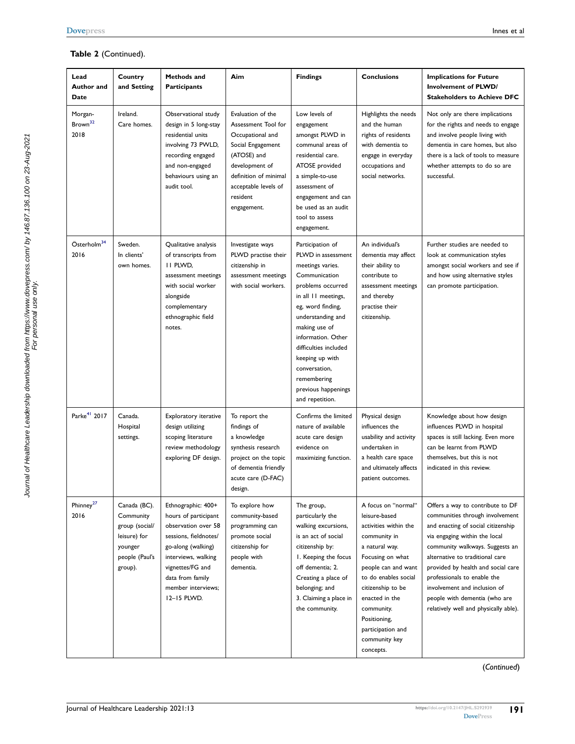#### **Table 2** (Continued).

| Lead<br>Author and<br>Date             | Country<br>and Setting                                                                              | Methods and<br><b>Participants</b>                                                                                                                                                                                   | Aim                                                                                                                                                                                            | <b>Findings</b>                                                                                                                                                                                                                                                                                                                | <b>Conclusions</b>                                                                                                                                                                                                                                                                         | <b>Implications for Future</b><br><b>Involvement of PLWD/</b><br><b>Stakeholders to Achieve DFC</b>                                                                                                                                                                                                                                                                                             |
|----------------------------------------|-----------------------------------------------------------------------------------------------------|----------------------------------------------------------------------------------------------------------------------------------------------------------------------------------------------------------------------|------------------------------------------------------------------------------------------------------------------------------------------------------------------------------------------------|--------------------------------------------------------------------------------------------------------------------------------------------------------------------------------------------------------------------------------------------------------------------------------------------------------------------------------|--------------------------------------------------------------------------------------------------------------------------------------------------------------------------------------------------------------------------------------------------------------------------------------------|-------------------------------------------------------------------------------------------------------------------------------------------------------------------------------------------------------------------------------------------------------------------------------------------------------------------------------------------------------------------------------------------------|
| Morgan-<br>Brown <sup>32</sup><br>2018 | Ireland.<br>Care homes.                                                                             | Observational study<br>design in 5 long-stay<br>residential units<br>involving 73 PWLD,<br>recording engaged<br>and non-engaged<br>behaviours using an<br>audit tool.                                                | Evaluation of the<br>Assessment Tool for<br>Occupational and<br>Social Engagement<br>(ATOSE) and<br>development of<br>definition of minimal<br>acceptable levels of<br>resident<br>engagement. | Low levels of<br>engagement<br>amongst PLWD in<br>communal areas of<br>residential care.<br>ATOSE provided<br>a simple-to-use<br>assessment of<br>engagement and can<br>be used as an audit<br>tool to assess<br>engagement.                                                                                                   | Highlights the needs<br>and the human<br>rights of residents<br>with dementia to<br>engage in everyday<br>occupations and<br>social networks.                                                                                                                                              | Not only are there implications<br>for the rights and needs to engage<br>and involve people living with<br>dementia in care homes, but also<br>there is a lack of tools to measure<br>whether attempts to do so are<br>successful.                                                                                                                                                              |
| Österholm <sup>34</sup><br>2016        | Sweden.<br>In clients'<br>own homes.                                                                | Qualitative analysis<br>of transcripts from<br>II PLWD,<br>assessment meetings<br>with social worker<br>alongside<br>complementary<br>ethnographic field<br>notes.                                                   | Investigate ways<br>PLWD practise their<br>citizenship in<br>assessment meetings<br>with social workers.                                                                                       | Participation of<br>PLWD in assessment<br>meetings varies.<br>Communication<br>problems occurred<br>in all 11 meetings,<br>eg, word finding,<br>understanding and<br>making use of<br>information. Other<br>difficulties included<br>keeping up with<br>conversation,<br>remembering<br>previous happenings<br>and repetition. | An individual's<br>dementia may affect<br>their ability to<br>contribute to<br>assessment meetings<br>and thereby<br>practise their<br>citizenship.                                                                                                                                        | Further studies are needed to<br>look at communication styles<br>amongst social workers and see if<br>and how using alternative styles<br>can promote participation.                                                                                                                                                                                                                            |
| Parke <sup>41</sup> 2017               | Canada.<br>Hospital<br>settings.                                                                    | Exploratory iterative<br>design utilizing<br>scoping literature<br>review methodology<br>exploring DF design.                                                                                                        | To report the<br>findings of<br>a knowledge<br>synthesis research<br>project on the topic<br>of dementia friendly<br>acute care (D-FAC)<br>design.                                             | Confirms the limited<br>nature of available<br>acute care design<br>evidence on<br>maximizing function.                                                                                                                                                                                                                        | Physical design<br>influences the<br>usability and activity<br>undertaken in<br>a health care space<br>and ultimately affects<br>patient outcomes.                                                                                                                                         | Knowledge about how design<br>influences PLWD in hospital<br>spaces is still lacking. Even more<br>can be learnt from PLWD<br>themselves, but this is not<br>indicated in this review.                                                                                                                                                                                                          |
| Phinney <sup>27</sup><br>2016          | Canada (BC).<br>Community<br>group (social/<br>leisure) for<br>younger<br>people (Paul's<br>group). | Ethnographic: 400+<br>hours of participant<br>observation over 58<br>sessions, fieldnotes/<br>go-along (walking)<br>interviews, walking<br>vignettes/FG and<br>data from family<br>member interviews:<br>12-15 PLWD. | To explore how<br>community-based<br>programming can<br>promote social<br>citizenship for<br>people with<br>dementia.                                                                          | The group,<br>particularly the<br>walking excursions,<br>is an act of social<br>citizenship by:<br>I. Keeping the focus<br>off dementia; 2.<br>Creating a place of<br>belonging; and<br>3. Claiming a place in<br>the community.                                                                                               | A focus on "normal"<br>leisure-based<br>activities within the<br>community in<br>a natural way.<br>Focusing on what<br>people can and want<br>to do enables social<br>citizenship to be<br>enacted in the<br>community.<br>Positioning,<br>participation and<br>community key<br>concepts. | Offers a way to contribute to DF<br>communities through involvement<br>and enacting of social citizenship<br>via engaging within the local<br>community walkways. Suggests an<br>alternative to traditional care<br>provided by health and social care<br>professionals to enable the<br>involvement and inclusion of<br>people with dementia (who are<br>relatively well and physically able). |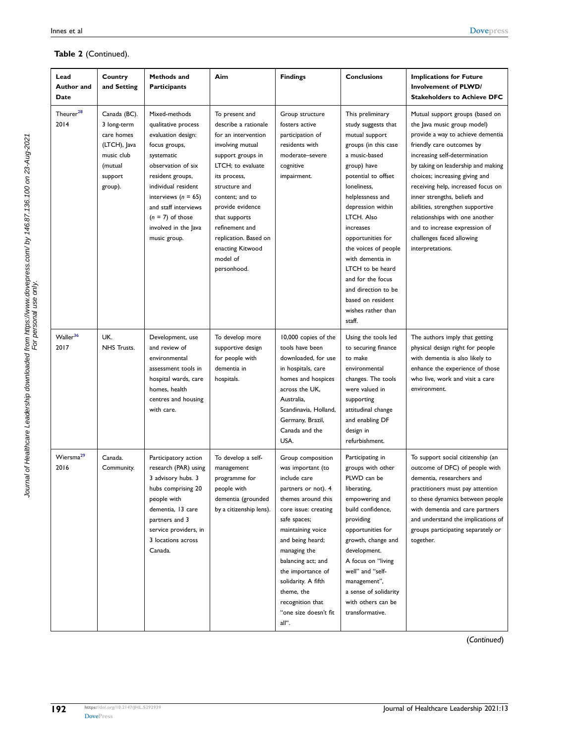#### **Table 2** (Continued).

| Lead<br>Author and<br>Date    | Country<br>and Setting                                                                                   | Methods and<br><b>Participants</b>                                                                                                                                                                                                                                          | Aim                                                                                                                                                                                                                                                                                                            | <b>Findings</b>                                                                                                                                                                                                                                                                                                                            | <b>Conclusions</b>                                                                                                                                                                                                                                                                                                                                                                                                | <b>Implications for Future</b><br>Involvement of PLWD/<br><b>Stakeholders to Achieve DFC</b>                                                                                                                                                                                                                                                                                                                                                                            |
|-------------------------------|----------------------------------------------------------------------------------------------------------|-----------------------------------------------------------------------------------------------------------------------------------------------------------------------------------------------------------------------------------------------------------------------------|----------------------------------------------------------------------------------------------------------------------------------------------------------------------------------------------------------------------------------------------------------------------------------------------------------------|--------------------------------------------------------------------------------------------------------------------------------------------------------------------------------------------------------------------------------------------------------------------------------------------------------------------------------------------|-------------------------------------------------------------------------------------------------------------------------------------------------------------------------------------------------------------------------------------------------------------------------------------------------------------------------------------------------------------------------------------------------------------------|-------------------------------------------------------------------------------------------------------------------------------------------------------------------------------------------------------------------------------------------------------------------------------------------------------------------------------------------------------------------------------------------------------------------------------------------------------------------------|
| Theurer <sup>28</sup><br>2014 | Canada (BC).<br>3 long-term<br>care homes<br>(LTCH), Java<br>music club<br>(mutual<br>support<br>group). | Mixed-methods<br>qualitative process<br>evaluation design:<br>focus groups,<br>systematic<br>observation of six<br>resident groups,<br>individual resident<br>interviews ( $n = 65$ )<br>and staff interviews<br>$(n = 7)$ of those<br>involved in the Java<br>music group. | To present and<br>describe a rationale<br>for an intervention<br>involving mutual<br>support groups in<br>LTCH; to evaluate<br>its process,<br>structure and<br>content; and to<br>provide evidence<br>that supports<br>refinement and<br>replication. Based on<br>enacting Kitwood<br>model of<br>personhood. | Group structure<br>fosters active<br>participation of<br>residents with<br>moderate-severe<br>cognitive<br>impairment.                                                                                                                                                                                                                     | This preliminary<br>study suggests that<br>mutual support<br>groups (in this case<br>a music-based<br>group) have<br>potential to offset<br>loneliness,<br>helplessness and<br>depression within<br>LTCH. Also<br>increases<br>opportunities for<br>the voices of people<br>with dementia in<br>LTCH to be heard<br>and for the focus<br>and direction to be<br>based on resident<br>wishes rather than<br>staff. | Mutual support groups (based on<br>the lava music group model)<br>provide a way to achieve dementia<br>friendly care outcomes by<br>increasing self-determination<br>by taking on leadership and making<br>choices; increasing giving and<br>receiving help, increased focus on<br>inner strengths, beliefs and<br>abilities, strengthen supportive<br>relationships with one another<br>and to increase expression of<br>challenges faced allowing<br>interpretations. |
| Waller <sup>36</sup><br>2017  | UK.<br>NHS Trusts.                                                                                       | Development, use<br>and review of<br>environmental<br>assessment tools in<br>hospital wards, care<br>homes, health<br>centres and housing<br>with care.                                                                                                                     | To develop more<br>supportive design<br>for people with<br>dementia in<br>hospitals.                                                                                                                                                                                                                           | 10,000 copies of the<br>tools have been<br>downloaded, for use<br>in hospitals, care<br>homes and hospices<br>across the UK,<br>Australia,<br>Scandinavia, Holland,<br>Germany, Brazil,<br>Canada and the<br>USA.                                                                                                                          | Using the tools led<br>to securing finance<br>to make<br>environmental<br>changes. The tools<br>were valued in<br>supporting<br>attitudinal change<br>and enabling DF<br>design in<br>refurbishment.                                                                                                                                                                                                              | The authors imply that getting<br>physical design right for people<br>with dementia is also likely to<br>enhance the experience of those<br>who live, work and visit a care<br>environment.                                                                                                                                                                                                                                                                             |
| Wiersma <sup>29</sup><br>2016 | Canada.<br>Community.                                                                                    | Participatory action<br>research (PAR) using<br>3 advisory hubs. 3<br>hubs comprising 20<br>people with<br>dementia, 13 care<br>partners and 3<br>service providers, in<br>3 locations across<br>Canada.                                                                    | To develop a self-<br>management<br>programme for<br>people with<br>dementia (grounded<br>by a citizenship lens).                                                                                                                                                                                              | Group composition<br>was important (to<br>include care<br>partners or not). 4<br>themes around this<br>core issue: creating<br>safe spaces;<br>maintaining voice<br>and being heard;<br>managing the<br>balancing act; and<br>the importance of<br>solidarity. A fifth<br>theme, the<br>recognition that<br>"one size doesn't fit<br>all". | Participating in<br>groups with other<br>PLWD can be<br>liberating,<br>empowering and<br>build confidence,<br>providing<br>opportunities for<br>growth, change and<br>development.<br>A focus on "living<br>well" and "self-<br>management",<br>a sense of solidarity<br>with others can be<br>transformative.                                                                                                    | To support social citizenship (an<br>outcome of DFC) of people with<br>dementia, researchers and<br>practitioners must pay attention<br>to these dynamics between people<br>with dementia and care partners<br>and understand the implications of<br>groups participating separately or<br>together.                                                                                                                                                                    |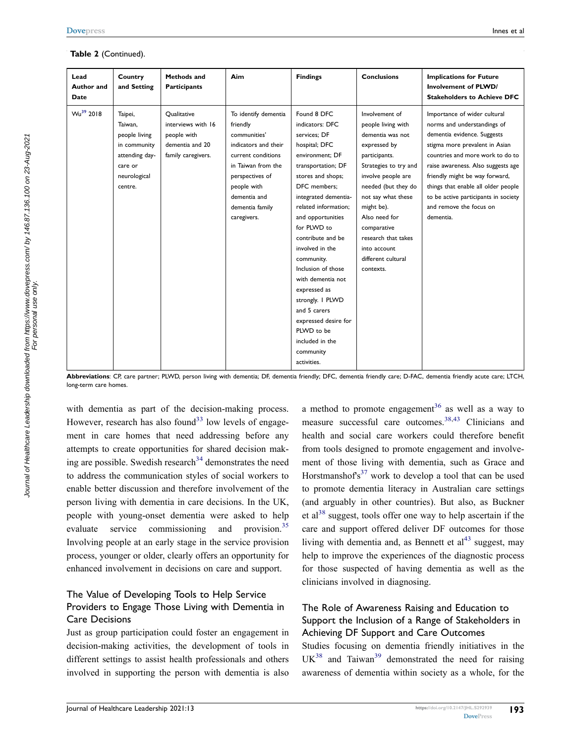| Lead<br>Author and<br>Date | Country<br>and Setting                                                                                      | <b>Methods and</b><br><b>Participants</b>                                                 | Aim                                                                                                                                                                                                      | <b>Findings</b>                                                                                                                                                                                                                                                                                                                                                                                                                                                             | <b>Conclusions</b>                                                                                                                                                                                                                                                                                            | <b>Implications for Future</b><br><b>Involvement of PLWD/</b><br><b>Stakeholders to Achieve DFC</b>                                                                                                                                                                                                                                                             |
|----------------------------|-------------------------------------------------------------------------------------------------------------|-------------------------------------------------------------------------------------------|----------------------------------------------------------------------------------------------------------------------------------------------------------------------------------------------------------|-----------------------------------------------------------------------------------------------------------------------------------------------------------------------------------------------------------------------------------------------------------------------------------------------------------------------------------------------------------------------------------------------------------------------------------------------------------------------------|---------------------------------------------------------------------------------------------------------------------------------------------------------------------------------------------------------------------------------------------------------------------------------------------------------------|-----------------------------------------------------------------------------------------------------------------------------------------------------------------------------------------------------------------------------------------------------------------------------------------------------------------------------------------------------------------|
| $Wu^{39}$ 2018             | Taipei,<br>Taiwan.<br>people living<br>in community<br>attending day-<br>care or<br>neurological<br>centre. | Qualitative<br>interviews with 16<br>people with<br>dementia and 20<br>family caregivers. | To identify dementia<br>friendly<br>communities'<br>indicators and their<br>current conditions<br>in Taiwan from the<br>perspectives of<br>people with<br>dementia and<br>dementia family<br>caregivers. | Found 8 DFC<br>indicators: DFC<br>services: DF<br>hospital; DFC<br>environment; DF<br>transportation; DF<br>stores and shops;<br>DFC members:<br>integrated dementia-<br>related information;<br>and opportunities<br>for PLWD to<br>contribute and be<br>involved in the<br>community.<br>Inclusion of those<br>with dementia not<br>expressed as<br>strongly. I PLWD<br>and 5 carers<br>expressed desire for<br>PLWD to be<br>included in the<br>community<br>activities. | Involvement of<br>people living with<br>dementia was not<br>expressed by<br>participants.<br>Strategies to try and<br>involve people are<br>needed (but they do<br>not say what these<br>might be).<br>Also need for<br>comparative<br>research that takes<br>into account<br>different cultural<br>contexts. | Importance of wider cultural<br>norms and understandings of<br>dementia evidence. Suggests<br>stigma more prevalent in Asian<br>countries and more work to do to<br>raise awareness. Also suggests age<br>friendly might be way forward,<br>things that enable all older people<br>to be active participants in society<br>and remove the focus on<br>dementia. |

**Abbreviations**: CP, care partner; PLWD, person living with dementia; DF, dementia friendly; DFC, dementia friendly care; D-FAC, dementia friendly acute care; LTCH, long-term care homes.

with dementia as part of the decision-making process. However, research has also found<sup>[33](#page-14-19)</sup> low levels of engagement in care homes that need addressing before any attempts to create opportunities for shared decision making are possible. Swedish research $34$  demonstrates the need to address the communication styles of social workers to enable better discussion and therefore involvement of the person living with dementia in care decisions. In the UK, people with young-onset dementia were asked to help evaluate service commissioning and provision.<sup>35</sup> Involving people at an early stage in the service provision process, younger or older, clearly offers an opportunity for enhanced involvement in decisions on care and support.

#### The Value of Developing Tools to Help Service Providers to Engage Those Living with Dementia in Care Decisions

Just as group participation could foster an engagement in decision-making activities, the development of tools in different settings to assist health professionals and others involved in supporting the person with dementia is also

a method to promote engagement<sup>[36](#page-14-27)</sup> as well as a way to measure successful care outcomes.<sup>[38,](#page-14-20)[43](#page-15-2)</sup> Clinicians and health and social care workers could therefore benefit from tools designed to promote engagement and involvement of those living with dementia, such as Grace and Horstmanshof's<sup>37</sup> work to develop a tool that can be used to promote dementia literacy in Australian care settings (and arguably in other countries). But also, as Buckner et al<sup>38</sup> suggest, tools offer one way to help ascertain if the care and support offered deliver DF outcomes for those living with dementia and, as Bennett et  $al<sup>43</sup>$  suggest, may help to improve the experiences of the diagnostic process for those suspected of having dementia as well as the clinicians involved in diagnosing.

#### The Role of Awareness Raising and Education to Support the Inclusion of a Range of Stakeholders in Achieving DF Support and Care Outcomes

Studies focusing on dementia friendly initiatives in the  $UK<sup>38</sup>$  and Taiwan<sup>[39](#page-14-21)</sup> demonstrated the need for raising awareness of dementia within society as a whole, for the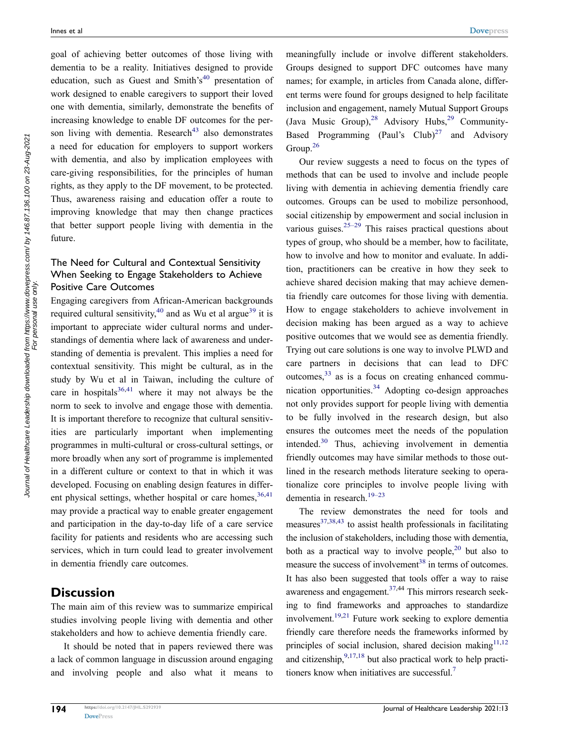goal of achieving better outcomes of those living with dementia to be a reality. Initiatives designed to provide education, such as Guest and Smith's<sup>[40](#page-14-29)</sup> presentation of work designed to enable caregivers to support their loved one with dementia, similarly, demonstrate the benefits of increasing knowledge to enable DF outcomes for the person living with dementia. Research<sup>43</sup> also demonstrates a need for education for employers to support workers with dementia, and also by implication employees with care-giving responsibilities, for the principles of human rights, as they apply to the DF movement, to be protected. Thus, awareness raising and education offer a route to improving knowledge that may then change practices that better support people living with dementia in the future.

#### The Need for Cultural and Contextual Sensitivity When Seeking to Engage Stakeholders to Achieve Positive Care Outcomes

Engaging caregivers from African-American backgrounds required cultural sensitivity,<sup>[40](#page-14-29)</sup> and as Wu et al argue<sup>39</sup> it is important to appreciate wider cultural norms and understandings of dementia where lack of awareness and understanding of dementia is prevalent. This implies a need for contextual sensitivity. This might be cultural, as in the study by Wu et al in Taiwan, including the culture of care in hospitals  $36,41$  $36,41$  where it may not always be the norm to seek to involve and engage those with dementia. It is important therefore to recognize that cultural sensitivities are particularly important when implementing programmes in multi-cultural or cross-cultural settings, or more broadly when any sort of programme is implemented in a different culture or context to that in which it was developed. Focusing on enabling design features in different physical settings, whether hospital or care homes,  $36,41$  $36,41$ may provide a practical way to enable greater engagement and participation in the day-to-day life of a care service facility for patients and residents who are accessing such services, which in turn could lead to greater involvement in dementia friendly care outcomes.

#### **Discussion**

Journal of Healthcare Leadership downloaded from https://www.dovepress.com/ by 146.87.136.100 on 23-Aug-2021 For<br>Journal of Healthcare Leadership downloaded from https://www.dovepress.com/ by 146.87.136.100 on 23-Aug-2021

Journal of Healthcare Leadership downloaded from https://www.dovepress.com/ by 146.87.136.100 on 23-Aug-2021<br>Journal of Healthcare Leadership downloaded For personal use only.

The main aim of this review was to summarize empirical studies involving people living with dementia and other stakeholders and how to achieve dementia friendly care.

It should be noted that in papers reviewed there was a lack of common language in discussion around engaging and involving people and also what it means to meaningfully include or involve different stakeholders. Groups designed to support DFC outcomes have many names; for example, in articles from Canada alone, different terms were found for groups designed to help facilitate inclusion and engagement, namely Mutual Support Groups (Java Music Group), <sup>28</sup> Advisory Hubs, <sup>29</sup> Community-Based Programming (Paul's  $\text{Club}$ )<sup>27</sup> and Advisory Group. $26$ 

Our review suggests a need to focus on the types of methods that can be used to involve and include people living with dementia in achieving dementia friendly care outcomes. Groups can be used to mobilize personhood, social citizenship by empowerment and social inclusion in various guises.<sup>25–29</sup> This raises practical questions about types of group, who should be a member, how to facilitate, how to involve and how to monitor and evaluate. In addition, practitioners can be creative in how they seek to achieve shared decision making that may achieve dementia friendly care outcomes for those living with dementia. How to engage stakeholders to achieve involvement in decision making has been argued as a way to achieve positive outcomes that we would see as dementia friendly. Trying out care solutions is one way to involve PLWD and care partners in decisions that can lead to DFC outcomes,  $33$  as is a focus on creating enhanced communication opportunities.<sup>34</sup> Adopting co-design approaches not only provides support for people living with dementia to be fully involved in the research design, but also ensures the outcomes meet the needs of the population intended.[30](#page-14-18) Thus, achieving involvement in dementia friendly outcomes may have similar methods to those outlined in the research methods literature seeking to operationalize core principles to involve people living with dementia in research.<sup>[19–23](#page-14-13)</sup>

<span id="page-12-1"></span><span id="page-12-0"></span>The review demonstrates the need for tools and measures $37,38,43$  $37,38,43$  $37,38,43$  to assist health professionals in facilitating the inclusion of stakeholders, including those with dementia, both as a practical way to involve people,  $2^0$  but also to measure the success of involvement<sup>38</sup> in terms of outcomes. It has also been suggested that tools offer a way to raise awareness and engagement. $37,44$  This mirrors research seeking to find frameworks and approaches to standardize involvement[.19](#page-14-13)[,21](#page-14-33) Future work seeking to explore dementia friendly care therefore needs the frameworks informed by principles of social inclusion, shared decision making $11,12$  $11,12$ and citizenship,  $9,17,18$  $9,17,18$  $9,17,18$  but also practical work to help practitioners know when initiatives are successful.<sup>7</sup>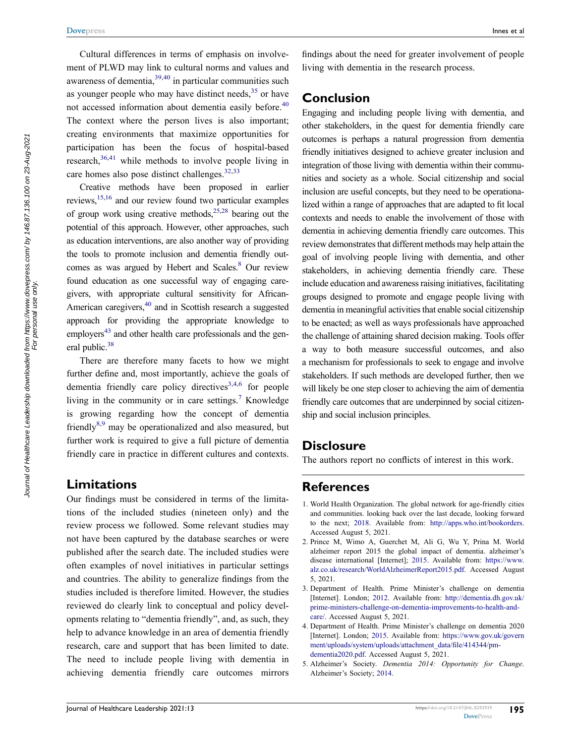Cultural differences in terms of emphasis on involvement of PLWD may link to cultural norms and values and awareness of dementia,  $39,40$  $39,40$  in particular communities such as younger people who may have distinct needs,  $35$  or have not accessed information about dementia easily before.<sup>40</sup> The context where the person lives is also important; creating environments that maximize opportunities for participation has been the focus of hospital-based research, $36,41$  $36,41$  while methods to involve people living in care homes also pose distinct challenges.<sup>[32](#page-14-26)[,33](#page-14-19)</sup>

Creative methods have been proposed in earlier reviews[,15](#page-14-9)[,16](#page-14-10) and our review found two particular examples of group work using creative methods,  $25,28$  bearing out the potential of this approach. However, other approaches, such as education interventions, are also another way of providing the tools to promote inclusion and dementia friendly out-comes as was argued by Hebert and Scales.<sup>[8](#page-14-2)</sup> Our review found education as one successful way of engaging caregivers, with appropriate cultural sensitivity for African-American caregivers, $40$  and in Scottish research a suggested approach for providing the appropriate knowledge to employers<sup>43</sup> and other health care professionals and the general public.<sup>38</sup>

There are therefore many facets to how we might further define and, most importantly, achieve the goals of dementia friendly care policy directives<sup>[3](#page-13-2)[,4](#page-13-3),6</sup> for people living in the community or in care settings.<sup>7</sup> Knowledge is growing regarding how the concept of dementia friendly<sup>[8](#page-14-2)[,9](#page-14-3)</sup> may be operationalized and also measured, but further work is required to give a full picture of dementia friendly care in practice in different cultures and contexts.

#### **Limitations**

Our findings must be considered in terms of the limitations of the included studies (nineteen only) and the review process we followed. Some relevant studies may not have been captured by the database searches or were published after the search date. The included studies were often examples of novel initiatives in particular settings and countries. The ability to generalize findings from the studies included is therefore limited. However, the studies reviewed do clearly link to conceptual and policy developments relating to "dementia friendly", and, as such, they help to advance knowledge in an area of dementia friendly research, care and support that has been limited to date. The need to include people living with dementia in achieving dementia friendly care outcomes mirrors

findings about the need for greater involvement of people living with dementia in the research process.

#### **Conclusion**

Engaging and including people living with dementia, and other stakeholders, in the quest for dementia friendly care outcomes is perhaps a natural progression from dementia friendly initiatives designed to achieve greater inclusion and integration of those living with dementia within their communities and society as a whole. Social citizenship and social inclusion are useful concepts, but they need to be operationalized within a range of approaches that are adapted to fit local contexts and needs to enable the involvement of those with dementia in achieving dementia friendly care outcomes. This review demonstrates that different methods may help attain the goal of involving people living with dementia, and other stakeholders, in achieving dementia friendly care. These include education and awareness raising initiatives, facilitating groups designed to promote and engage people living with dementia in meaningful activities that enable social citizenship to be enacted; as well as ways professionals have approached the challenge of attaining shared decision making. Tools offer a way to both measure successful outcomes, and also a mechanism for professionals to seek to engage and involve stakeholders. If such methods are developed further, then we will likely be one step closer to achieving the aim of dementia friendly care outcomes that are underpinned by social citizenship and social inclusion principles.

#### **Disclosure**

The authors report no conflicts of interest in this work.

### **References**

- <span id="page-13-0"></span>1. World Health Organization. The global network for age-friendly cities and communities. looking back over the last decade, looking forward to the next; [2018](#page-1-0). Available from: <http://apps.who.int/bookorders>. Accessed August 5, 2021.
- <span id="page-13-1"></span>2. Prince M, Wimo A, Guerchet M, Ali G, Wu Y, Prina M. World alzheimer report 2015 the global impact of dementia. alzheimer's disease international [Internet]; [2015.](#page-1-1) Available from: [https://www.](https://www.alz.co.uk/research/WorldAlzheimerReport2015.pdf) [alz.co.uk/research/WorldAlzheimerReport2015.pdf](https://www.alz.co.uk/research/WorldAlzheimerReport2015.pdf). Accessed August 5, 2021.
- <span id="page-13-2"></span>3. Department of Health. Prime Minister's challenge on dementia [Internet]. London; [2012](#page-1-2). Available from: [http://dementia.dh.gov.uk/](http://dementia.dh.gov.uk/prime-ministers-challenge-on-dementia-improvements-to-health-and-care/) [prime-ministers-challenge-on-dementia-improvements-to-health-and](http://dementia.dh.gov.uk/prime-ministers-challenge-on-dementia-improvements-to-health-and-care/)[care/.](http://dementia.dh.gov.uk/prime-ministers-challenge-on-dementia-improvements-to-health-and-care/) Accessed August 5, 2021.
- <span id="page-13-3"></span>4. Department of Health. Prime Minister's challenge on dementia 2020 [Internet]. London; [2015.](#page-1-3) Available from: [https://www.gov.uk/govern](https://www.gov.uk/government/uploads/system/uploads/attachment_data/file/414344/pm-dementia2020.pdf) [ment/uploads/system/uploads/attachment\\_data/file/414344/pm](https://www.gov.uk/government/uploads/system/uploads/attachment_data/file/414344/pm-dementia2020.pdf)[dementia2020.pdf](https://www.gov.uk/government/uploads/system/uploads/attachment_data/file/414344/pm-dementia2020.pdf). Accessed August 5, 2021.
- <span id="page-13-4"></span>5. Alzheimer's Society. *Dementia 2014: Opportunity for Change*. Alzheimer's Society; [2014](#page-1-3).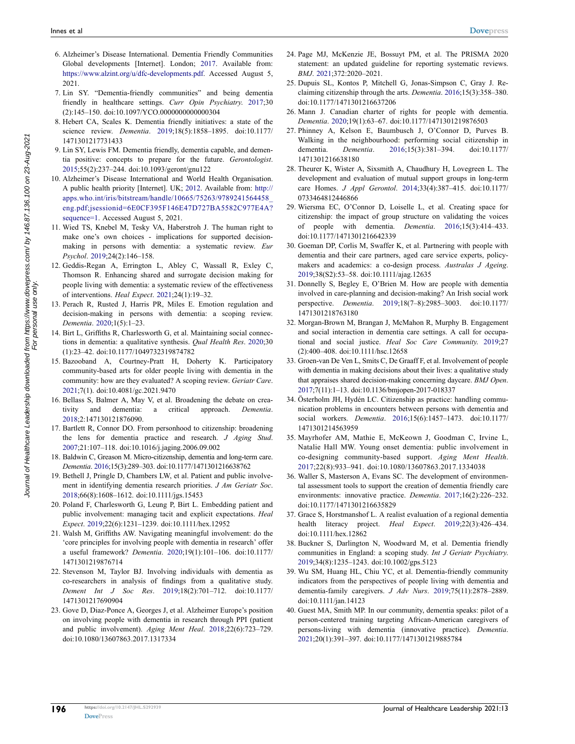- <span id="page-14-0"></span>6. Alzheimer's Disease International. Dementia Friendly Communities Global developments [Internet]. London; [2017.](#page-1-4) Available from: [https://www.alzint.org/u/dfc-developments.pdf.](https://www.alzint.org/u/dfc-developments.pdf) Accessed August 5, 2021.
- <span id="page-14-1"></span>7. Lin SY. "Dementia-friendly communities" and being dementia friendly in healthcare settings. *Curr Opin Psychiatry*. [2017](#page-1-5);30 (2):145–150. doi:[10.1097/YCO.0000000000000304](https://doi.org/10.1097/YCO.0000000000000304)
- <span id="page-14-2"></span>8. Hebert CA, Scales K. Dementia friendly initiatives: a state of the science review. *Dementia*. [2019;](#page-1-5)18(5):1858–1895. doi:[10.1177/](https://doi.org/10.1177/1471301217731433)  [1471301217731433](https://doi.org/10.1177/1471301217731433)
- <span id="page-14-3"></span>9. Lin SY, Lewis FM. Dementia friendly, dementia capable, and dementia positive: concepts to prepare for the future. *Gerontologist*. [2015;](#page-2-0)55(2):237–244. doi:[10.1093/geront/gnu122](https://doi.org/10.1093/geront/gnu122)
- <span id="page-14-4"></span>10. Alzheimer's Disease International and World Health Organisation. A public health priority [Internet]. UK; [2012.](#page-2-1) Available from: [http://](http://apps.who.int/iris/bitstream/handle/10665/75263/9789241564458_eng.pdf;jsessionid=6E0CF395F146E47D727BA5582C977E4A?sequence=1)  [apps.who.int/iris/bitstream/handle/10665/75263/9789241564458\\_](http://apps.who.int/iris/bitstream/handle/10665/75263/9789241564458_eng.pdf;jsessionid=6E0CF395F146E47D727BA5582C977E4A?sequence=1)  [eng.pdf;jsessionid=6E0CF395F146E47D727BA5582C977E4A?](http://apps.who.int/iris/bitstream/handle/10665/75263/9789241564458_eng.pdf;jsessionid=6E0CF395F146E47D727BA5582C977E4A?sequence=1) [sequence=1.](http://apps.who.int/iris/bitstream/handle/10665/75263/9789241564458_eng.pdf;jsessionid=6E0CF395F146E47D727BA5582C977E4A?sequence=1) Accessed August 5, 2021.
- <span id="page-14-5"></span>11. Wied TS, Knebel M, Tesky VA, Haberstroh J. The human right to make one's own choices - implications for supported decisionmaking in persons with dementia: a systematic review. *Eur Psychol*. [2019;](#page-2-2)24(2):146–158.
- <span id="page-14-6"></span>12. Geddis-Regan A, Errington L, Abley C, Wassall R, Exley C, Thomson R. Enhancing shared and surrogate decision making for people living with dementia: a systematic review of the effectiveness of interventions. *Heal Expect*. [2021](#page-2-3);24(1):19–32.
- <span id="page-14-7"></span>13. Perach R, Rusted J, Harris PR, Miles E. Emotion regulation and decision-making in persons with dementia: a scoping review. *Dementia*. [2020](#page-2-4);1(5):1–23.
- <span id="page-14-8"></span>14. Birt L, Griffiths R, Charlesworth G, et al. Maintaining social connections in dementia: a qualitative synthesis. *Qual Health Res*. [2020](#page-2-5);30 (1):23–42. doi:[10.1177/1049732319874782](https://doi.org/10.1177/1049732319874782)
- <span id="page-14-9"></span>15. Bazooband A, Courtney-Pratt H, Doherty K. Participatory community-based arts for older people living with dementia in the community: how are they evaluated? A scoping review. *Geriatr Care*. [2021;](#page-3-0)7(1). doi:[10.4081/gc.2021.9470](https://doi.org/10.4081/gc.2021.9470)
- <span id="page-14-10"></span>16. Bellass S, Balmer A, May V, et al. Broadening the debate on creativity and dementia: a critical approach. *Dementia*. [2018;](#page-3-1)2:147130121876090.
- <span id="page-14-11"></span>17. Bartlett R, Connor DO. From personhood to citizenship: broadening the lens for dementia practice and research. *J Aging Stud*. [2007;](#page-3-2)21:107–118. doi:[10.1016/j.jaging.2006.09.002](https://doi.org/10.1016/j.jaging.2006.09.002)
- <span id="page-14-12"></span>18. Baldwin C, Greason M. Micro-citizenship, dementia and long-term care. *Dementia*. [2016;](#page-3-3)15(3):289–303. doi:[10.1177/1471301216638762](https://doi.org/10.1177/1471301216638762)
- <span id="page-14-13"></span>19. Bethell J, Pringle D, Chambers LW, et al. Patient and public involvement in identifying dementia research priorities. *J Am Geriatr Soc*. [2018;](#page-3-4)66(8):1608–1612. doi:[10.1111/jgs.15453](https://doi.org/10.1111/jgs.15453)
- <span id="page-14-32"></span>20. Poland F, Charlesworth G, Leung P, Birt L. Embedding patient and public involvement: managing tacit and explicit expectations. *Heal Expect*. [2019](#page-12-0);22(6):1231–1239. doi:[10.1111/hex.12952](https://doi.org/10.1111/hex.12952)
- <span id="page-14-33"></span>21. Walsh M, Griffiths AW. Navigating meaningful involvement: do the 'core principles for involving people with dementia in research' offer a useful framework? *Dementia*. [2020](#page-12-1);19(1):101–106. doi:[10.1177/](https://doi.org/10.1177/1471301219876714)  [1471301219876714](https://doi.org/10.1177/1471301219876714)
- 22. Stevenson M, Taylor BJ. Involving individuals with dementia as co-researchers in analysis of findings from a qualitative study. *Dement Int J Soc Res*. 2019;18(2):701–712. doi:[10.1177/](https://doi.org/10.1177/1471301217690904)  [1471301217690904](https://doi.org/10.1177/1471301217690904)
- <span id="page-14-14"></span>23. Gove D, Diaz-Ponce A, Georges J, et al. Alzheimer Europe's position on involving people with dementia in research through PPI (patient and public involvement). *Aging Ment Heal*. [2018;](#page-3-5)22(6):723–729. doi:[10.1080/13607863.2017.1317334](https://doi.org/10.1080/13607863.2017.1317334)
- <span id="page-14-15"></span>24. Page MJ, McKenzie JE, Bossuyt PM, et al. The PRISMA 2020 statement: an updated guideline for reporting systematic reviews. *BMJ*. [2021](#page-3-6);372:2020–2021.
- <span id="page-14-16"></span>25. Dupuis SL, Kontos P, Mitchell G, Jonas-Simpson C, Gray J. Reclaiming citizenship through the arts. *Dementia*. [2016;](#page-5-0)15(3):358–380. doi:[10.1177/1471301216637206](https://doi.org/10.1177/1471301216637206)
- <span id="page-14-22"></span>26. Mann J. Canadian charter of rights for people with dementia. *Dementia*. [2020](#page-5-1);19(1):63–67. doi:[10.1177/1471301219876503](https://doi.org/10.1177/1471301219876503)
- <span id="page-14-17"></span>27. Phinney A, Kelson E, Baumbusch J, O'Connor D, Purves B. Walking in the neighbourhood: performing social citizenship in dementia. *Dementia*. [2016](#page-5-2);15(3):381–394. doi:[10.1177/](https://doi.org/10.1177/1471301216638180) [1471301216638180](https://doi.org/10.1177/1471301216638180)
- <span id="page-14-23"></span>28. Theurer K, Wister A, Sixsmith A, Chaudhury H, Lovegreen L. The development and evaluation of mutual support groups in long-term care Homes. *J Appl Gerontol*. [2014](#page-5-3);33(4):387–415. doi:[10.1177/](https://doi.org/10.1177/0733464812446866) [0733464812446866](https://doi.org/10.1177/0733464812446866)
- <span id="page-14-24"></span>29. Wiersma EC, O'Connor D, Loiselle L, et al. Creating space for citizenship: the impact of group structure on validating the voices of people with dementia. *Dementia*. [2016;](#page-5-4)15(3):414–433. doi:[10.1177/1471301216642339](https://doi.org/10.1177/1471301216642339)
- <span id="page-14-18"></span>30. Goeman DP, Corlis M, Swaffer K, et al. Partnering with people with dementia and their care partners, aged care service experts, policymakers and academics: a co-design process. *Australas J Ageing*. [2019](#page-5-5);38(S2):53–58. doi:[10.1111/ajag.12635](https://doi.org/10.1111/ajag.12635)
- <span id="page-14-25"></span>31. Donnelly S, Begley E, O'Brien M. How are people with dementia involved in care-planning and decision-making? An Irish social work perspective. *Dementia*. [2019;](#page-5-5)18(7–8):2985–3003. doi:[10.1177/](https://doi.org/10.1177/1471301218763180) [1471301218763180](https://doi.org/10.1177/1471301218763180)
- <span id="page-14-26"></span>32. Morgan-Brown M, Brangan J, McMahon R, Murphy B. Engagement and social interaction in dementia care settings. A call for occupational and social justice. *Heal Soc Care Community*. [2019](#page-5-6);27 (2):400–408. doi:[10.1111/hsc.12658](https://doi.org/10.1111/hsc.12658)
- <span id="page-14-19"></span>33. Groen-van De Ven L, Smits C, De Graaff F, et al. Involvement of people with dementia in making decisions about their lives: a qualitative study that appraises shared decision-making concerning daycare. *BMJ Open*. [2017](#page-5-7);7(11):1–13. doi:[10.1136/bmjopen-2017-018337](https://doi.org/10.1136/bmjopen-2017-018337)
- <span id="page-14-31"></span>34. Österholm JH, Hydén LC. Citizenship as practice: handling communication problems in encounters between persons with dementia and social workers. *Dementia*. [2016](#page-5-8);15(6):1457–1473. doi:[10.1177/](https://doi.org/10.1177/1471301214563959) [1471301214563959](https://doi.org/10.1177/1471301214563959)
- <span id="page-14-30"></span>35. Mayrhofer AM, Mathie E, McKeown J, Goodman C, Irvine L, Natalie Hall MW. Young onset dementia: public involvement in co-designing community-based support. *Aging Ment Health*. [2017](#page-5-9);22(8):933–941. doi:[10.1080/13607863.2017.1334038](https://doi.org/10.1080/13607863.2017.1334038)
- <span id="page-14-27"></span>36. Waller S, Masterson A, Evans SC. The development of environmental assessment tools to support the creation of dementia friendly care environments: innovative practice. *Dementia*. [2017;](#page-5-10)16(2):226–232. doi:[10.1177/1471301216635829](https://doi.org/10.1177/1471301216635829)
- <span id="page-14-28"></span>37. Grace S, Horstmanshof L. A realist evaluation of a regional dementia health literacy project. *Heal Expect*. [2019;](#page-5-11)22(3):426–434. doi:[10.1111/hex.12862](https://doi.org/10.1111/hex.12862)
- <span id="page-14-20"></span>38. Buckner S, Darlington N, Woodward M, et al. Dementia friendly communities in England: a scoping study. *Int J Geriatr Psychiatry*. [2019](#page-5-12);34(8):1235–1243. doi:[10.1002/gps.5123](https://doi.org/10.1002/gps.5123)
- <span id="page-14-21"></span>39. Wu SM, Huang HL, Chiu YC, et al. Dementia-friendly community indicators from the perspectives of people living with dementia and dementia-family caregivers. *J Adv Nurs*. [2019;](#page-5-9)75(11):2878–2889. doi:[10.1111/jan.14123](https://doi.org/10.1111/jan.14123)
- <span id="page-14-29"></span>40. Guest MA, Smith MP. In our community, dementia speaks: pilot of a person-centered training targeting African-American caregivers of persons-living with dementia (innovative practice). *Dementia*. [2021](#page-5-13);20(1):391–397. doi:[10.1177/1471301219885784](https://doi.org/10.1177/1471301219885784)